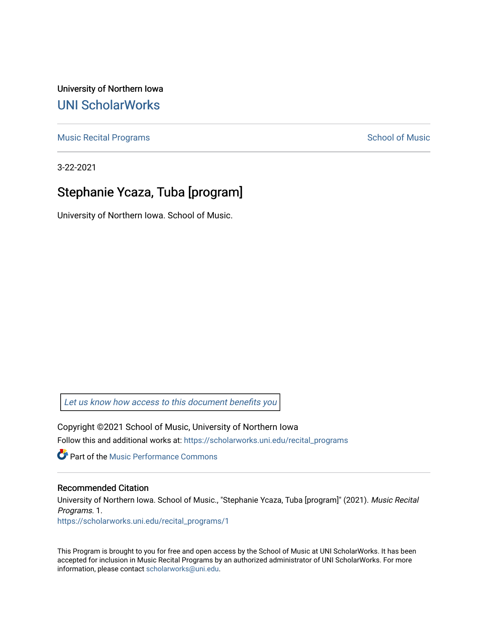University of Northern Iowa [UNI ScholarWorks](https://scholarworks.uni.edu/) 

[Music Recital Programs](https://scholarworks.uni.edu/recital_programs) **School of Music** School of Music

3-22-2021

#### Stephanie Ycaza, Tuba [program]

University of Northern Iowa. School of Music.

[Let us know how access to this document benefits you](https://scholarworks.uni.edu/feedback_form.html) 

Copyright ©2021 School of Music, University of Northern Iowa Follow this and additional works at: [https://scholarworks.uni.edu/recital\\_programs](https://scholarworks.uni.edu/recital_programs?utm_source=scholarworks.uni.edu%2Frecital_programs%2F1&utm_medium=PDF&utm_campaign=PDFCoverPages) 

**C** Part of the [Music Performance Commons](http://network.bepress.com/hgg/discipline/1128?utm_source=scholarworks.uni.edu%2Frecital_programs%2F1&utm_medium=PDF&utm_campaign=PDFCoverPages)

#### Recommended Citation

University of Northern Iowa. School of Music., "Stephanie Ycaza, Tuba [program]" (2021). Music Recital Programs. 1.

[https://scholarworks.uni.edu/recital\\_programs/1](https://scholarworks.uni.edu/recital_programs/1?utm_source=scholarworks.uni.edu%2Frecital_programs%2F1&utm_medium=PDF&utm_campaign=PDFCoverPages) 

This Program is brought to you for free and open access by the School of Music at UNI ScholarWorks. It has been accepted for inclusion in Music Recital Programs by an authorized administrator of UNI ScholarWorks. For more information, please contact [scholarworks@uni.edu.](mailto:scholarworks@uni.edu)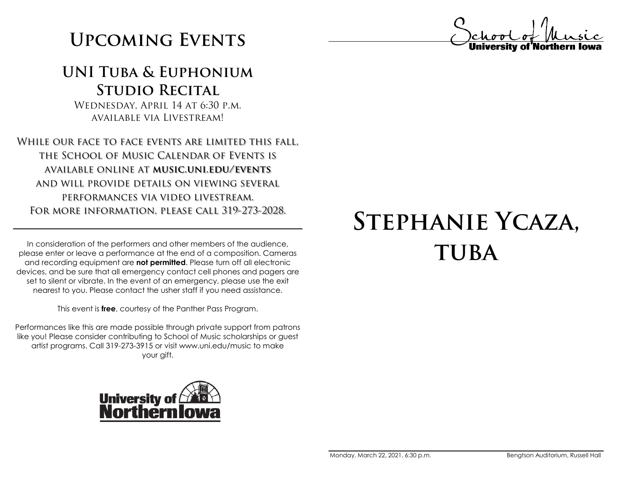# **Upcoming Events**

#### **UNI Tuba & Euphonium Studio Recital**

Wednesday, April 14 at 6:30 p.m. available via Livestream!

While our face to face events are limited this fall, the School of Music Calendar of Events is available online at **music.uni.edu/events** and will provide details on viewing several performances via video livestream. For more information, please call 319-273-2028.

In consideration of the performers and other members of the audience, please enter or leave a performance at the end of a composition. Cameras and recording equipment are **not permitted**. Please turn off all electronic devices, and be sure that all emergency contact cell phones and pagers are set to silent or vibrate. In the event of an emergency, please use the exit nearest to you. Please contact the usher staff if you need assistance.

This event is **free**, courtesy of the Panther Pass Program.

Performances like this are made possible through private support from patrons like you! Please consider contributing to School of Music scholarships or guest artist programs. Call 319-273-3915 or visit www.uni.edu/music to make your gift.



# **Stephanie Ycaza, tuba**